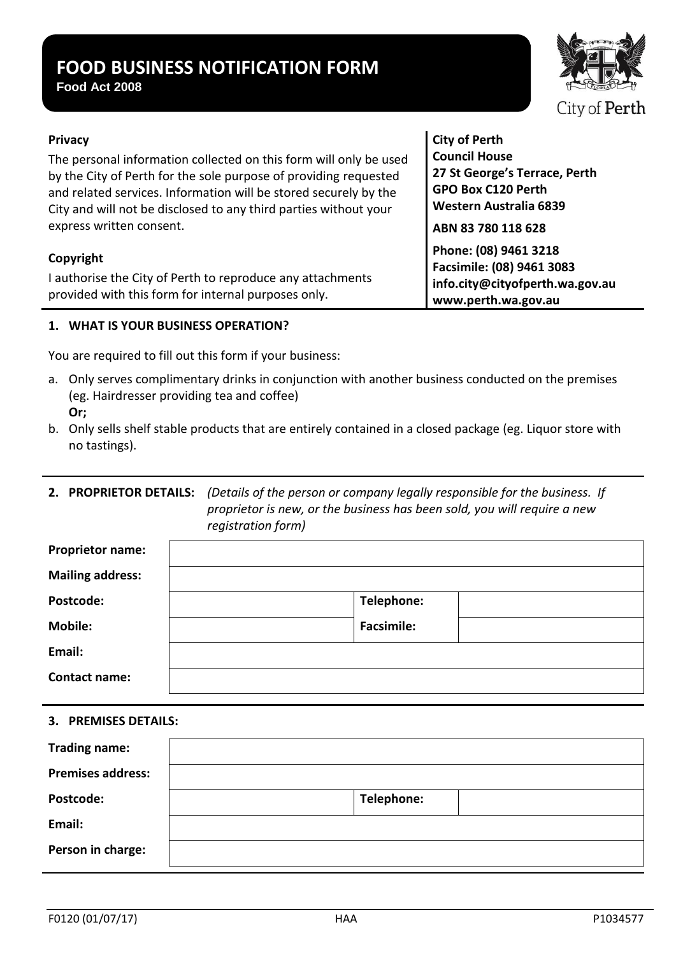# **FOOD BUSINESS NOTIFICATION FORM**

**Food Act 2008**

## **Privacy**

The personal information collected on this form will only be used by the City of Perth for the sole purpose of providing requested and related services. Information will be stored securely by the City and will not be disclosed to any third parties without your express written consent.

# **Copyright**

I authorise the City of Perth to reproduce any attachments provided with this form for internal purposes only.

## **1. WHAT IS YOUR BUSINESS OPERATION?**

You are required to fill out this form if your business:

- a. Only serves complimentary drinks in conjunction with another business conducted on the premises (eg. Hairdresser providing tea and coffee) **Or;**
- b. Only sells shelf stable products that are entirely contained in a closed package (eg. Liquor store with no tastings).

# **2. PROPRIETOR DETAILS:** *(Details of the person or company legally responsible for the business. If proprietor is new, or the business has been sold, you will require a new registration form)*

| <b>Proprietor name:</b> |                   |
|-------------------------|-------------------|
| <b>Mailing address:</b> |                   |
| Postcode:               | Telephone:        |
| <b>Mobile:</b>          | <b>Facsimile:</b> |
| Email:                  |                   |
| <b>Contact name:</b>    |                   |

#### **3. PREMISES DETAILS:**

| <b>Trading name:</b>     |            |  |
|--------------------------|------------|--|
| <b>Premises address:</b> |            |  |
| Postcode:                | Telephone: |  |
| Email:                   |            |  |
| Person in charge:        |            |  |

**City of Perth Council House 27 St George's Terrace, Perth GPO Box C120 Perth Western Australia 6839**

**ABN 83 780 118 628**

**Phone: (08) 9461 3218 Facsimile: (08) 9461 3083 info.city@cityofperth.wa.gov.au www.perth.wa.gov.au**